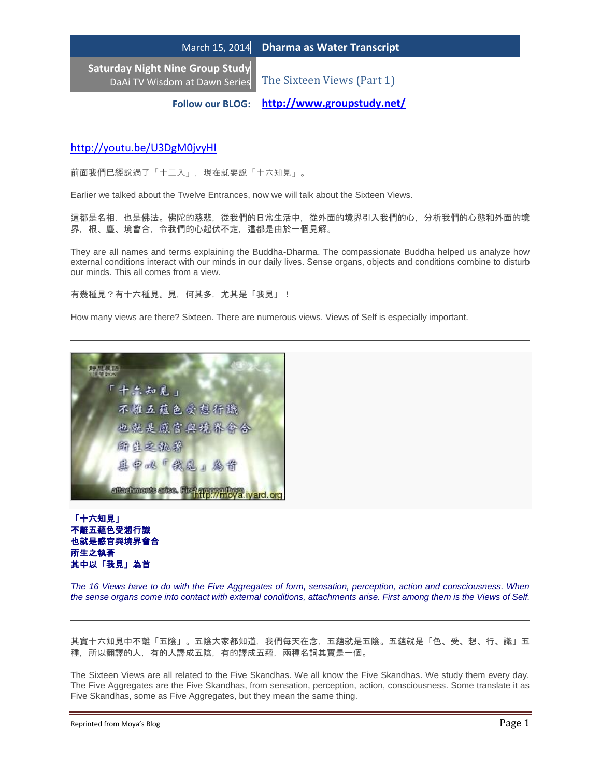**Saturday Night Nine Group Study** DaAi TV Wisdom at Dawn Series The Sixteen Views (Part 1)

**Follow our BLOG: <http://www.groupstudy.net/>**

## <http://youtu.be/U3DgM0jvyHI>

前面我們已經說過了「十二入」,現在就要說「十六知見」。

Earlier we talked about the Twelve Entrances, now we will talk about the Sixteen Views.

這都是名相,也是佛法。佛陀的慈悲,從我們的日常生活中,從外面的境界引入我們的心,分析我們的心態和外面的境 界,根、塵、境會合,令我們的心起伏不定,這都是由於一個見解。

They are all names and terms explaining the Buddha-Dharma. The compassionate Buddha helped us analyze how external conditions interact with our minds in our daily lives. Sense organs, objects and conditions combine to disturb our minds. This all comes from a view.

有幾種見?有十六種見。見,何其多,尤其是「我見」!

How many views are there? Sixteen. There are numerous views. Views of Self is especially important.



### 「十六知見」 不離五蘊色受想行識 也就是感官與境界會合 所生之執著 其中以「我見」為首

*The 16 Views have to do with the Five Aggregates of form, sensation, perception, action and consciousness. When the sense organs come into contact with external conditions, attachments arise. First among them is the Views of Self.*

其實十六知見中不離「五陰」。五陰大家都知道,我們每天在念,五蘊就是五陰。五蘊就是「色、受、想、行、識」五 種,所以翻譯的人,有的人譯成五陰,有的譯成五蘊,兩種名詞其實是一個。

The Sixteen Views are all related to the Five Skandhas. We all know the Five Skandhas. We study them every day. The Five Aggregates are the Five Skandhas, from sensation, perception, action, consciousness. Some translate it as Five Skandhas, some as Five Aggregates, but they mean the same thing.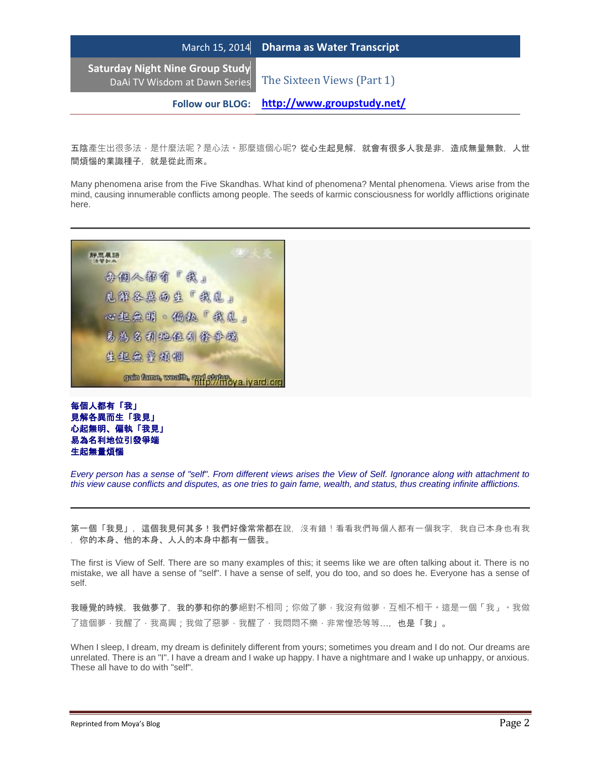**Saturday Night Nine Group Study**

DaAi TV Wisdom at Dawn Series The Sixteen Views (Part 1)

**Follow our BLOG: <http://www.groupstudy.net/>**

五陰產牛出很多法,是什麼法呢?是心法。那麼這個心呢?從心生起見解,就會有很多人我是非,造成無量無數,人世 間煩惱的業識種子,就是從此而來。

Many phenomena arise from the Five Skandhas. What kind of phenomena? Mental phenomena. Views arise from the mind, causing innumerable conflicts among people. The seeds of karmic consciousness for worldly afflictions originate here.



# 每個人都有「我」 見解各異而生「我見」 心起無明、偏執「我見」 易為名利地位引發爭端 生起無量煩惱

*Every person has a sense of "self". From different views arises the View of Self. Ignorance along with attachment to this view cause conflicts and disputes, as one tries to gain fame, wealth, and status, thus creating infinite afflictions.*

第一個「我見」,這個我見何其多!我們好像常常都在說,沒有錯!看看我們每個人都有一個我字,我自己本身也有我 ,你的本身、他的本身、人人的本身中都有一個我。

The first is View of Self. There are so many examples of this; it seems like we are often talking about it. There is no mistake, we all have a sense of "self". I have a sense of self, you do too, and so does he. Everyone has a sense of self.

我睡覺的時候,我做夢了,我的夢和你的夢絕對不相同;你做了夢‧我沒有做夢‧互相不相干。這是一個「我」。我做 了這個夢,我醒了,我高興;我做了惡夢,我醒了,我悶悶不樂,非常惶恐等等…,也是「我」。

When I sleep, I dream, my dream is definitely different from yours; sometimes you dream and I do not. Our dreams are unrelated. There is an "I". I have a dream and I wake up happy. I have a nightmare and I wake up unhappy, or anxious. These all have to do with "self".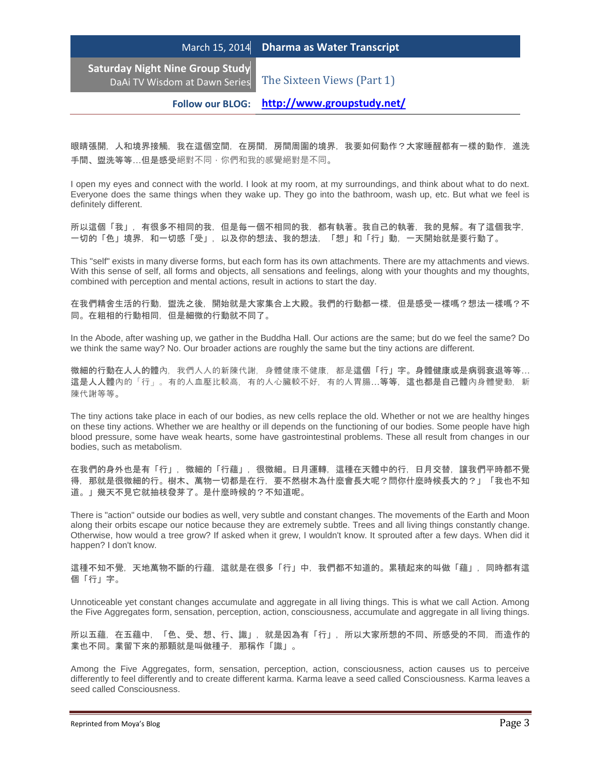**Saturday Night Nine Group Study**

DaAi TV Wisdom at Dawn Series The Sixteen Views (Part 1)

**Follow our BLOG: <http://www.groupstudy.net/>**

眼睛張開,人和境界接觸,我在這個空間,在房間,房間周圍的境界,我要如何動作?大家睡醒都有一樣的動作,進洗 手間、盥洗等等…但是感受絕對不同,你們和我的感覺絕對是不同。

I open my eyes and connect with the world. I look at my room, at my surroundings, and think about what to do next. Everyone does the same things when they wake up. They go into the bathroom, wash up, etc. But what we feel is definitely different.

所以這個「我」,有很多不相同的我,但是每一個不相同的我,都有執著。我自己的執著,我的見解。有了這個我字, 一切的「色」境界,和一切感「受」,以及你的想法、我的想法,「想」和「行」動,一天開始就是要行動了。

This "self" exists in many diverse forms, but each form has its own attachments. There are my attachments and views. With this sense of self, all forms and objects, all sensations and feelings, along with your thoughts and my thoughts, combined with perception and mental actions, result in actions to start the day.

在我們精舍生活的行動,盥洗之後,開始就是大家集合上大殿。我們的行動都一樣,但是感受一樣嗎?想法一樣嗎?不 同。在粗相的行動相同,但是細微的行動就不同了。

In the Abode, after washing up, we gather in the Buddha Hall. Our actions are the same; but do we feel the same? Do we think the same way? No. Our broader actions are roughly the same but the tiny actions are different.

微細的行動在人人的體內,我們人人的新陳代謝,身體健康不健康,都是這個「行」字。身體健康或是病弱衰退等等… 這是人人體內的「行」。有的人血壓比較高,有的人心臟較不好,有的人胃腸…等等,這也都是自己體內身體變動,新 陳代謝等等。

The tiny actions take place in each of our bodies, as new cells replace the old. Whether or not we are healthy hinges on these tiny actions. Whether we are healthy or ill depends on the functioning of our bodies. Some people have high blood pressure, some have weak hearts, some have gastrointestinal problems. These all result from changes in our bodies, such as metabolism.

在我們的身外也是有「行」,微細的「行蘊」,很微細。日月運轉,這種在天體中的行,日月交替,讓我們平時都不覺 得,那就是很微細的行。樹木、萬物一切都是在行,要不然樹木為什麼會長大呢?問你什麼時候長大的?」「我也不知 道。」幾天不見它就抽枝發芽了。是什麼時候的?不知道呢。

There is "action" outside our bodies as well, very subtle and constant changes. The movements of the Earth and Moon along their orbits escape our notice because they are extremely subtle. Trees and all living things constantly change. Otherwise, how would a tree grow? If asked when it grew, I wouldn't know. It sprouted after a few days. When did it happen? I don't know.

這種不知不覺,天地萬物不斷的行蘊,這就是在很多「行」中,我們都不知道的。累積起來的叫做「蘊」,同時都有這 個「行」字。

Unnoticeable yet constant changes accumulate and aggregate in all living things. This is what we call Action. Among the Five Aggregates form, sensation, perception, action, consciousness, accumulate and aggregate in all living things.

所以五蘊,在五蘊中,「色、受、想、行、識」,就是因為有「行」,所以大家所想的不同、所感受的不同,而造作的 業也不同。業留下來的那顆就是叫做種子,那稱作「識」。

Among the Five Aggregates, form, sensation, perception, action, consciousness, action causes us to perceive differently to feel differently and to create different karma. Karma leave a seed called Consciousness. Karma leaves a seed called Consciousness.

Reprinted from Moya's Blog **Page 3** and the Reprinted from Moya's Blog Page 3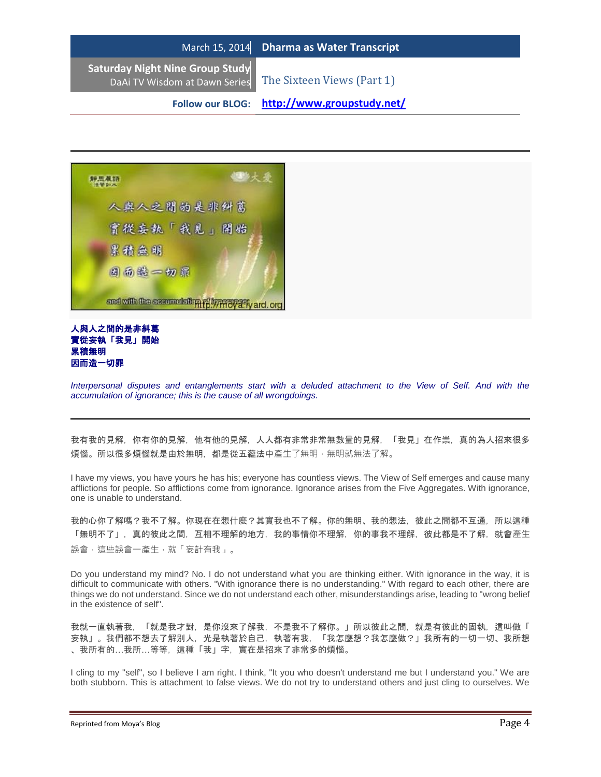|                                                                                                    | March 15, 2014 Dharma as Water Transcript |
|----------------------------------------------------------------------------------------------------|-------------------------------------------|
| <b>Saturday Night Nine Group Study</b><br>DaAi TV Wisdom at Dawn Series The Sixteen Views (Part 1) |                                           |

**Follow our BLOG: <http://www.groupstudy.net/>**



### 人與人之間的是非糾葛 實從妄執「我見」開始 累積無明 因而造一切罪

*Interpersonal disputes and entanglements start with a deluded attachment to the View of Self. And with the accumulation of ignorance; this is the cause of all wrongdoings.*

我有我的見解,你有你的見解,人人都有非常非常無數量的見解,「我見」在作祟,真的為人招來很多 煩惱。所以很多煩惱就是由於無明,都是從五蘊法中產生了無明,無明就無法了解。

I have my views, you have yours he has his; everyone has countless views. The View of Self emerges and cause many afflictions for people. So afflictions come from ignorance. Ignorance arises from the Five Aggregates. With ignorance, one is unable to understand.

我的心你了解嗎?我不了解。你現在在想什麼?其實我也不了解。你的無明、我的想法,彼此之間都不互通,所以這種 「無明不了」,真的彼此之間,互相不理解的地方,我的事情你不理解,你的事我不理解,彼此都是不了解,就會產生 誤會,這些誤會一產生,就「妄計有我」。

Do you understand my mind? No. I do not understand what you are thinking either. With ignorance in the way, it is difficult to communicate with others. "With ignorance there is no understanding." With regard to each other, there are things we do not understand. Since we do not understand each other, misunderstandings arise, leading to "wrong belief in the existence of self".

我就一直執著我,「就是我才對,是你沒來了解我,不是我不了解你。」所以彼此之間,就是有彼此的固執,這叫做「 妄執」。我們都不想去了解別人,光是執著於自己,執著有我,「我怎麼想?我怎麼做?」我所有的一切一切、我所想 、我所有的…我所…等等,這種「我」字,實在是招來了非常多的煩惱。

I cling to my "self", so I believe I am right. I think, "It you who doesn't understand me but I understand you." We are both stubborn. This is attachment to false views. We do not try to understand others and just cling to ourselves. We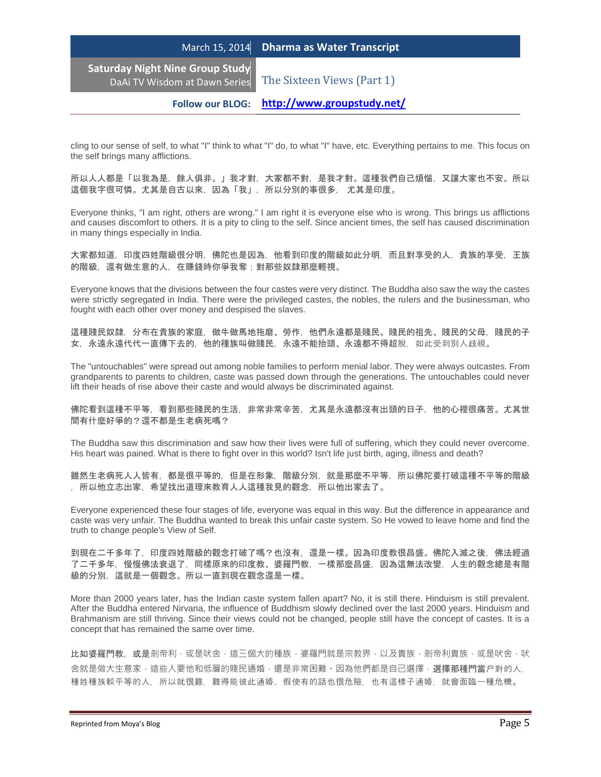**Saturday Night Nine Group Study**

DaAi TV Wisdom at Dawn Series The Sixteen Views (Part 1)

**Follow our BLOG: <http://www.groupstudy.net/>**

cling to our sense of self, to what "I" think to what "I" do, to what "I" have, etc. Everything pertains to me. This focus on the self brings many afflictions.

所以人人都是「以我為是,餘人俱非。」我才對,大家都不對,是我才對。這種我們自己煩惱,又讓大家也不安。所以 這個我字很可憐。尤其是自古以來,因為「我」,所以分別的事很多,尤其是印度。

Everyone thinks, "I am right, others are wrong." I am right it is everyone else who is wrong. This brings us afflictions and causes discomfort to others. It is a pity to cling to the self. Since ancient times, the self has caused discrimination in many things especially in India.

大家都知道,印度四姓階級很分明,佛陀也是因為,他看到印度的階級如此分明,而且對享受的人,貴族的享受,王族 的階級,還有做生意的人,在賺錢時你爭我奪;對那些奴隸那麼輕視。

Everyone knows that the divisions between the four castes were very distinct. The Buddha also saw the way the castes were strictly segregated in India. There were the privileged castes, the nobles, the rulers and the businessman, who fought with each other over money and despised the slaves.

這種賤民奴隸,分布在貴族的家庭,做牛做馬地拖磨、勞作,他們永遠都是賤民。賤民的祖先、賤民的父母,賤民的子 女,永遠永遠代代一直傳下去的,他的種族叫做賤民,永遠不能抬頭、永遠都不得超脫,如此受到別人歧視。

The "untouchables" were spread out among noble families to perform menial labor. They were always outcastes. From grandparents to parents to children, caste was passed down through the generations. The untouchables could never lift their heads of rise above their caste and would always be discriminated against.

佛陀看到這種不平等,看到那些賤民的生活,非常非常辛苦,尤其是永遠都沒有出頭的日子,他的心裡很痛苦。尤其世 間有什麼好爭的?還不都是生老病死嗎?

The Buddha saw this discrimination and saw how their lives were full of suffering, which they could never overcome. His heart was pained. What is there to fight over in this world? Isn't life just birth, aging, illness and death?

雖然生老病死人人皆有,都是很平等的,但是在形象,階級分別,就是那麼不平等,所以佛陀要打破這種不平等的階級 ,所以他立志出家,希望找出道理來教育人人這種我見的觀念,所以他出家去了。

Everyone experienced these four stages of life, everyone was equal in this way. But the difference in appearance and caste was very unfair. The Buddha wanted to break this unfair caste system. So He vowed to leave home and find the truth to change people's View of Self.

到現在二千多年了,印度四姓階級的觀念打破了嗎?也沒有,還是一樣。因為印度教很昌盛。佛陀入滅之後,佛法經過 了二千多年,慢慢佛法衰退了,同樣原來的印度教、婆羅門教,一樣那麼昌盛,因為這無法改變,人生的觀念總是有階 級的分別,這就是一個觀念。所以一直到現在觀念還是一樣。

More than 2000 years later, has the Indian caste system fallen apart? No, it is still there. Hinduism is still prevalent. After the Buddha entered Nirvana, the influence of Buddhism slowly declined over the last 2000 years. Hinduism and Brahmanism are still thriving. Since their views could not be changed, people still have the concept of castes. It is a concept that has remained the same over time.

比如婆羅門教,或是剎帝利,或是吠舍,這三個大的種族,婆羅門就是宗教界,以及貴族,剎帝利貴族,或是吠舍,吠 舍就是做大生意家,這些人要他和低層的賤民通婚,還是非常困難。因為他們都是自己選擇,選**擇那種門當**戶對的人, 種姓種族較平等的人,所以就很難,難得能彼此通婚。假使有的話也很危險,也有這樣子通婚,就會面臨一種危機。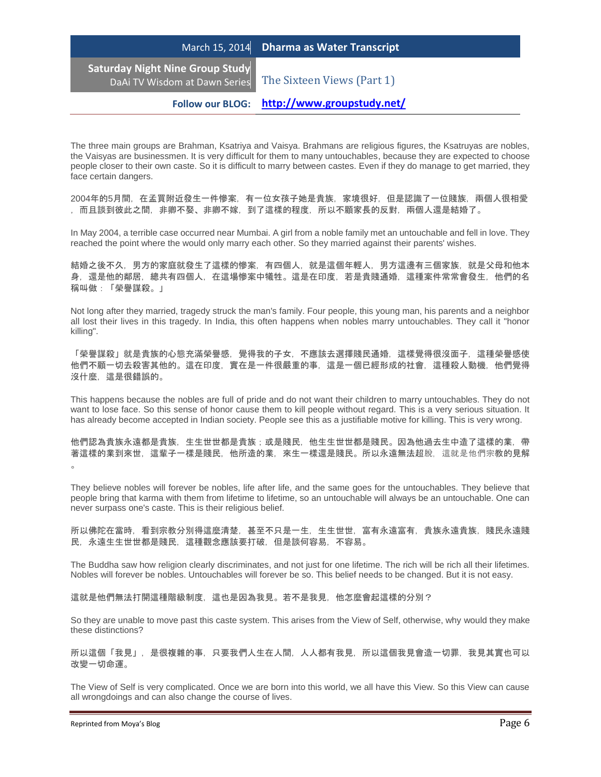**Saturday Night Nine Group Study**

DaAi TV Wisdom at Dawn Series The Sixteen Views (Part 1)

**Follow our BLOG: <http://www.groupstudy.net/>**

The three main groups are Brahman, Ksatriya and Vaisya. Brahmans are religious figures, the Ksatruyas are nobles, the Vaisyas are businessmen. It is very difficult for them to many untouchables, because they are expected to choose people closer to their own caste. So it is difficult to marry between castes. Even if they do manage to get married, they face certain dangers.

2004年的5月間,在孟買附近發生一件慘案,有一位女孩子她是貴族,家境很好,但是認識了一位賤族,兩個人很相愛 ,而且談到彼此之間,非卿不娶、非卿不嫁,到了這樣的程度,所以不顧家長的反對,兩個人還是結婚了。

In May 2004, a terrible case occurred near Mumbai. A girl from a noble family met an untouchable and fell in love. They reached the point where the would only marry each other. So they married against their parents' wishes.

結婚之後不久,男方的家庭就發生了這樣的慘案,有四個人,就是這個年輕人,男方這邊有三個家族,就是父母和他本 身,還是他的鄰居,總共有四個人,在這場慘案中犧牲。這是在印度,若是貴賤通婚,這種案件常常會發生,他們的名 稱叫做:「榮譽謀殺。」

Not long after they married, tragedy struck the man's family. Four people, this young man, his parents and a neighbor all lost their lives in this tragedy. In India, this often happens when nobles marry untouchables. They call it "honor killing".

「榮譽謀殺」就是貴族的心態充滿榮譽感,覺得我的子女,不應該去選擇賤民通婚,這樣覺得很沒面子,這種榮譽感使 他們不顧一切去殺害其他的。這在印度,實在是一件很嚴重的事,這是一個已經形成的社會,這種殺人動機,他們覺得 沒什麼,這是很錯誤的。

This happens because the nobles are full of pride and do not want their children to marry untouchables. They do not want to lose face. So this sense of honor cause them to kill people without regard. This is a very serious situation. It has already become accepted in Indian society. People see this as a justifiable motive for killing. This is very wrong.

他們認為貴族永遠都是貴族,生生世世都是貴族;或是賤民,他生生世世都是賤民。因為他過去生中造了這樣的業,帶 著這樣的業到來世,這輩子一樣是賤民,他所造的業,來生一樣還是賤民。所以永遠無法超脫,這就是他們宗教的見解  $\circ$ 

They believe nobles will forever be nobles, life after life, and the same goes for the untouchables. They believe that people bring that karma with them from lifetime to lifetime, so an untouchable will always be an untouchable. One can never surpass one's caste. This is their religious belief.

所以佛陀在當時,看到宗教分別得這麼清楚,甚至不只是一生,生生世世,富有永遠富有,貴族永遠貴族,賤民永遠賤 民,永遠生生世世都是賤民,這種觀念應該要打破,但是談何容易,不容易。

The Buddha saw how religion clearly discriminates, and not just for one lifetime. The rich will be rich all their lifetimes. Nobles will forever be nobles. Untouchables will forever be so. This belief needs to be changed. But it is not easy.

這就是他們無法打開這種階級制度,這也是因為我見。若不是我見,他怎麼會起這樣的分別?

So they are unable to move past this caste system. This arises from the View of Self, otherwise, why would they make these distinctions?

所以這個「我見」,是很複雜的事,只要我們人生在人間,人人都有我見,所以這個我見會造一切罪,我見其實也可以 改變一切命運。

The View of Self is very complicated. Once we are born into this world, we all have this View. So this View can cause all wrongdoings and can also change the course of lives.

Reprinted from Moya's Blog **Page 6** and the Reprinted from Moya's Blog Page 6